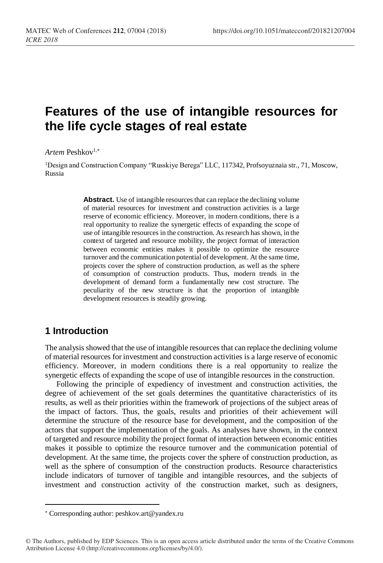# **Features of the use of intangible resources for the life cycle stages of real estate**

Artem Peshkov<sup>1,\*</sup>

<sup>1</sup>Design and Construction Company "Russkiye Berega" LLC, 117342, Profsoyuznaia str., 71, Moscow, Russia

> **Abstract.** Use of intangible resources that can replace the declining volume of material resources for investment and construction activities is a large reserve of economic efficiency. Moreover, in modern conditions, there is a real opportunity to realize the synergetic effects of expanding the scope of use of intangible resources in the construction. As research has shown, in the context of targeted and resource mobility, the project format of interaction between economic entities makes it possible to optimize the resource turnover and the communication potential of development. At the same time, projects cover the sphere of construction production, as well as the sphere of consumption of construction products. Thus, modern trends in the development of demand form a fundamentally new cost structure. The peculiarity of the new structure is that the proportion of intangible development resources is steadily growing.

# **1 Introduction**

 $\overline{\phantom{a}}$ 

The analysis showed that the use of intangible resources that can replace the declining volume of material resources for investment and construction activities is a large reserve of economic efficiency. Moreover, in modern conditions there is a real opportunity to realize the synergetic effects of expanding the scope of use of intangible resources in the construction.

Following the principle of expediency of investment and construction activities, the degree of achievement of the set goals determines the quantitative characteristics of its results, as well as their priorities within the framework of projections of the subject areas of the impact of factors. Thus, the goals, results and priorities of their achievement will determine the structure of the resource base for development, and the composition of the actors that support the implementation of the goals. As analyses have shown, in the context of targeted and resource mobility the project format of interaction between economic entities makes it possible to optimize the resource turnover and the communication potential of development. At the same time, the projects cover the sphere of construction production, as well as the sphere of consumption of the construction products. Resource characteristics include indicators of turnover of tangible and intangible resources, and the subjects of investment and construction activity of the construction market, such as designers,

Corresponding author[: peshkov.art@yandex.ru](mailto:peshkov.art@yandex.ru)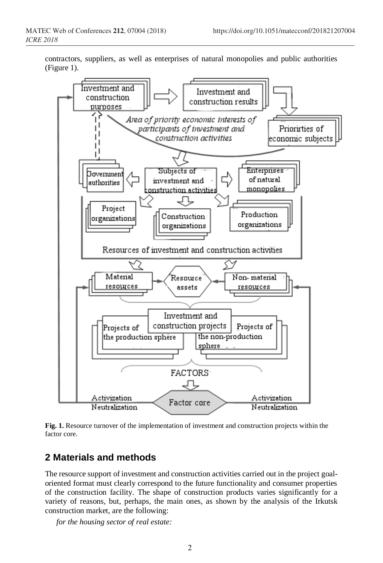contractors, suppliers, as well as enterprises of natural monopolies and public authorities (Figure 1).



**Fig. 1.** Resource turnover of the implementation of investment and construction projects within the factor core.

# **2 Materials and methods**

The resource support of investment and construction activities carried out in the project goaloriented format must clearly correspond to the future functionality and consumer properties of the construction facility. The shape of construction products varies significantly for a variety of reasons, but, perhaps, the main ones, as shown by the analysis of the Irkutsk construction market, are the following:

*for the housing sector of real estate:*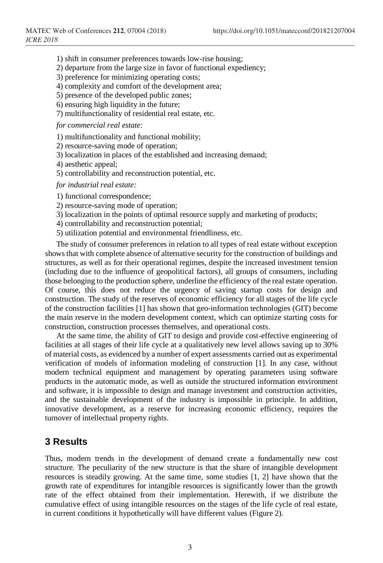1) shift in consumer preferences towards low-rise housing;

2) departure from the large size in favor of functional expediency;

3) preference for minimizing operating costs;

4) complexity and comfort of the development area;

5) presence of the developed public zones;

6) ensuring high liquidity in the future;

7) multifunctionality of residential real estate, etc.

*for commercial real estate:*

1) multifunctionality and functional mobility;

2) resource-saving mode of operation;

3) localization in places of the established and increasing demand;

4) aesthetic appeal;

5) controllability and reconstruction potential, etc.

*for industrial real estate:*

1) functional correspondence;

2) resource-saving mode of operation;

3) localization in the points of optimal resource supply and marketing of products;

4) controllability and reconstruction potential;

5) utilization potential and environmental friendliness, etc.

The study of consumer preferences in relation to all types of real estate without exception shows that with complete absence of alternative security for the construction of buildings and structures, as well as for their operational regimes, despite the increased investment tension (including due to the influence of geopolitical factors), all groups of consumers, including those belonging to the production sphere, underline the efficiency of the real estate operation. Of course, this does not reduce the urgency of saving startup costs for design and construction. The study of the reserves of economic efficiency for all stages of the life cycle of the construction facilities [1] has shown that geo-information technologies (GIT) become the main reserve in the modern development context, which can optimize starting costs for construction, construction processes themselves, and operational costs.

At the same time, the ability of GIT to design and provide cost-effective engineering of facilities at all stages of their life cycle at a qualitatively new level allows saving up to 30% of material costs, as evidenced by a number of expert assessments carried out as experimental verification of models of information modeling of construction [1]. In any case, without modern technical equipment and management by operating parameters using software products in the automatic mode, as well as outside the structured information environment and software, it is impossible to design and manage investment and construction activities, and the sustainable development of the industry is impossible in principle. In addition, innovative development, as a reserve for increasing economic efficiency, requires the turnover of intellectual property rights.

#### **3 Results**

Thus, modern trends in the development of demand create a fundamentally new cost structure. The peculiarity of the new structure is that the share of intangible development resources is steadily growing. At the same time, some studies [1, 2] have shown that the growth rate of expenditures for intangible resources is significantly lower than the growth rate of the effect obtained from their implementation. Herewith, if we distribute the cumulative effect of using intangible resources on the stages of the life cycle of real estate, in current conditions it hypothetically will have different values (Figure 2).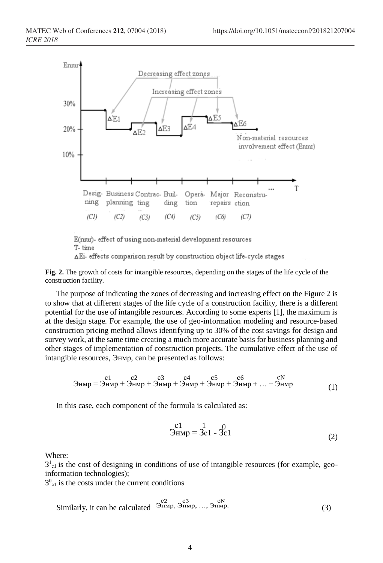

T-time

AEi- effects comparison result by construction object life-cycle stages

Fig. 2. The growth of costs for intangible resources, depending on the stages of the life cycle of the construction facility.

The purpose of indicating the zones of decreasing and increasing effect on the Figure 2 is to show that at different stages of the life cycle of a construction facility, there is a different potential for the use of intangible resources. According to some experts [1], the maximum is at the design stage. For example, the use of geo-information modeling and resource-based construction pricing method allows identifying up to 30% of the cost savings for design and survey work, at the same time creating a much more accurate basis for business planning and other stages of implementation of construction projects. The cumulative effect of the use of intangible resources, Энмр, can be presented as follows:

$$
9_{HMP} = 9_{HMP}^{c1} + 9_{HMP}^{c2} + 9_{HMP}^{c3} + 9_{HMP}^{c4} + 9_{HMP}^{c5} + 9_{HMP}^{c6} + ... + 9_{HMP}
$$
 (1)

In this case, each component of the formula is calculated as:

$$
{}^{c1}_{\text{HMP}} = {}^{1}_{3c1} - {}^{0}_{3c1}
$$
 (2)

Where:

 $3<sup>1</sup>$ <sub>cl</sub> is the cost of designing in conditions of use of intangible resources (for example, geoinformation technologies):

 $3<sup>0</sup>$ <sub>c1</sub> is the costs under the current conditions

Similarly, it can be calculated 
$$
3^{C^2} \text{Bimp, } \dots, 3^{C^N}
$$
 (3)